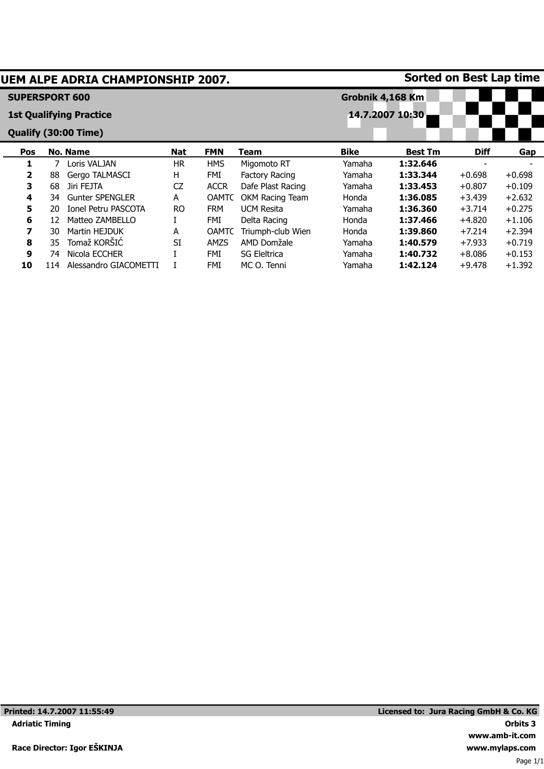| <b>Sorted on Best Lap time</b><br>UEM ALPE ADRIA CHAMPIONSHIP 2007. |                       |    |                                |            |              |                       |                  |                 |             |          |  |  |
|---------------------------------------------------------------------|-----------------------|----|--------------------------------|------------|--------------|-----------------------|------------------|-----------------|-------------|----------|--|--|
|                                                                     | <b>SUPERSPORT 600</b> |    |                                |            |              |                       | Grobnik 4,168 Km |                 |             |          |  |  |
|                                                                     |                       |    | <b>1st Qualifying Practice</b> |            |              |                       |                  | 14.7.2007 10:30 |             |          |  |  |
|                                                                     |                       |    | Qualify (30:00 Time)           |            |              |                       |                  |                 |             |          |  |  |
|                                                                     | <b>Pos</b>            |    | <b>No. Name</b>                | <b>Nat</b> | <b>FMN</b>   | Team                  | <b>Bike</b>      | <b>Best Tm</b>  | <b>Diff</b> | Gap      |  |  |
|                                                                     | 1                     |    | Loris VALJAN                   | HR.        | <b>HMS</b>   | Migomoto RT           | Yamaha           | 1:32.646        |             |          |  |  |
|                                                                     | $\mathbf{2}$          | 88 | Gergo TALMASCI                 | н          | <b>FMI</b>   | <b>Factory Racing</b> | Yamaha           | 1:33.344        | $+0.698$    | $+0.698$ |  |  |
|                                                                     | 3                     | 68 | Jiri FEJTA                     | <b>CZ</b>  | <b>ACCR</b>  | Dafe Plast Racing     | Yamaha           | 1:33.453        | $+0.807$    | $+0.109$ |  |  |
|                                                                     | 4                     | 34 | <b>Gunter SPENGLER</b>         | A          | OAMTC        | OKM Racing Team       | Honda            | 1:36.085        | $+3.439$    | $+2.632$ |  |  |
|                                                                     | 5                     | 20 | <b>Ionel Petru PASCOTA</b>     | <b>RO</b>  | <b>FRM</b>   | <b>UCM Resita</b>     | Yamaha           | 1:36.360        | $+3.714$    | $+0.275$ |  |  |
|                                                                     | 6                     | 12 | Matteo ZAMBELLO                |            | FMI          | Delta Racing          | Honda            | 1:37.466        | $+4.820$    | $+1.106$ |  |  |
|                                                                     | 7                     | 30 | Martin HEJDUK                  | A          | <b>OAMTC</b> | Triumph-club Wien     | Honda            | 1:39.860        | $+7.214$    | $+2.394$ |  |  |
|                                                                     | 8                     | 35 | Tomaž KORŠIĆ                   | <b>SI</b>  | AMZS         | AMD Domžale           | Yamaha           | 1:40.579        | $+7.933$    | $+0.719$ |  |  |
|                                                                     | 9                     | 74 | Nicola ECCHER                  |            | <b>FMI</b>   | <b>SG Eleltrica</b>   | Yamaha           | 1:40.732        | $+8.086$    | $+0.153$ |  |  |
|                                                                     | 10                    | 14 | Alessandro GIACOMETTI          |            | <b>FMI</b>   | MC O. Tenni           | Yamaha           | 1:42.124        | $+9.478$    | $+1.392$ |  |  |
|                                                                     |                       |    |                                |            |              |                       |                  |                 |             |          |  |  |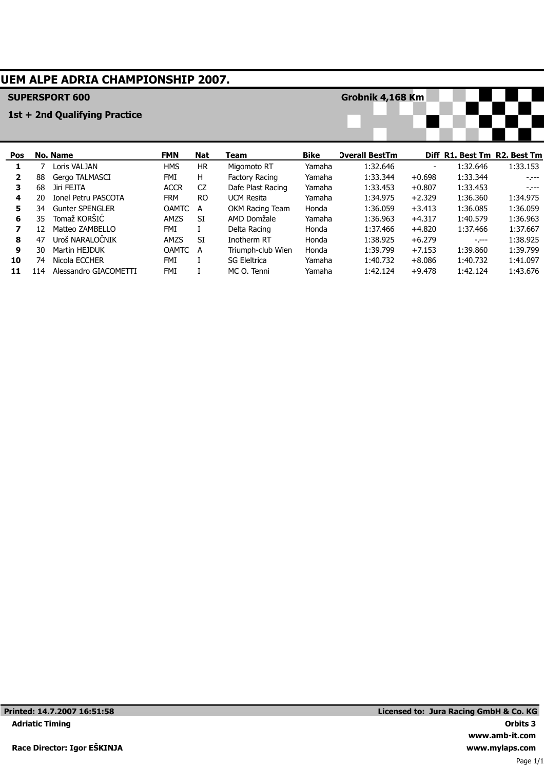## **UEM ALPE ADRIA CHAMPIONSHIP 2007.**

#### **SUPERSPORT 600**

#### **1st + 2nd Qualifying Practice**

**Grobnik 4,168 Km**



| <b>Pos</b> |     | No. Name               | <b>FMN</b>   | Nat       | Team                | <b>Bike</b> | <b>Overall BestTm</b> |          | Diff R1. Best Tm R2. Best Tm |          |
|------------|-----|------------------------|--------------|-----------|---------------------|-------------|-----------------------|----------|------------------------------|----------|
|            |     | Loris VALJAN           | <b>HMS</b>   | <b>HR</b> | Migomoto RT         | Yamaha      | 1:32.646              |          | 1:32.646                     | 1:33.153 |
| 2          | 88  | Gergo TALMASCI         | FMI          | H.        | Factory Racing      | Yamaha      | 1:33.344              | $+0.698$ | 1:33.344                     | $-1 - -$ |
| з.         | 68  | Jiri FEJTA             | <b>ACCR</b>  | CZ        | Dafe Plast Racing   | Yamaha      | 1:33.453              | $+0.807$ | 1:33.453                     | $-1 - -$ |
| 4          | 20  | Ionel Petru PASCOTA    | <b>FRM</b>   | RO.       | <b>UCM Resita</b>   | Yamaha      | 1:34.975              | $+2.329$ | 1:36.360                     | 1:34.975 |
| 5.         | 34  | <b>Gunter SPENGLER</b> | <b>OAMTC</b> | A         | OKM Racing Team     | Honda       | 1:36.059              | $+3.413$ | 1:36.085                     | 1:36.059 |
| 6          | 35. | Tomaž KORŠIĆ           | <b>AMZS</b>  | SI        | AMD Domžale         | Yamaha      | 1:36.963              | $+4.317$ | 1:40.579                     | 1:36.963 |
| 7          | 12  | Matteo ZAMBELLO        | FMI          |           | Delta Racing        | Honda       | 1:37.466              | $+4.820$ | 1:37.466                     | 1:37.667 |
| 8          | 47  | Uroš NARALOČNIK        | <b>AMZS</b>  | <b>SI</b> | Inotherm RT         | Honda       | 1:38.925              | $+6.279$ | $-1 - - -$                   | 1:38.925 |
| 9          | 30  | Martin HEJDUK          | <b>OAMTC</b> | A         | Triumph-club Wien   | Honda       | 1:39.799              | $+7.153$ | 1:39.860                     | 1:39.799 |
| 10         | 74  | Nicola ECCHER          | FMI          |           | <b>SG Eleitrica</b> | Yamaha      | 1:40.732              | $+8.086$ | 1:40.732                     | 1:41.097 |
| 11         | 114 | Alessandro GIACOMETTI  | FMI          |           | MC O. Tenni         | Yamaha      | 1:42.124              | $+9.478$ | 1:42.124                     | 1:43.676 |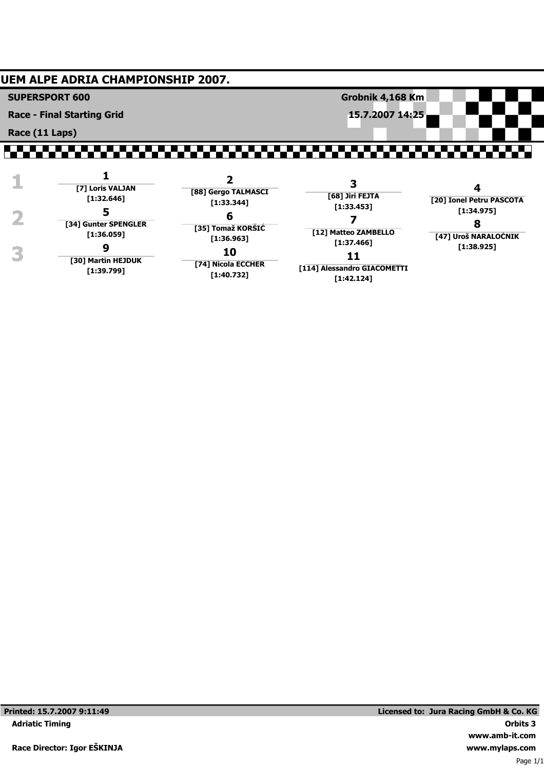### **UEM ALPE ADRIA CHAMPIONSHIP 2007.**

**SUPERSPORT 600**

**Race - Final Starting Grid**

**Race (11 Laps)**

# ,,,,,,,,,,,,,,,,,,,,,,,,,,,,,

**Grobnik 4,168 Km**

**15.7.2007 14:25**